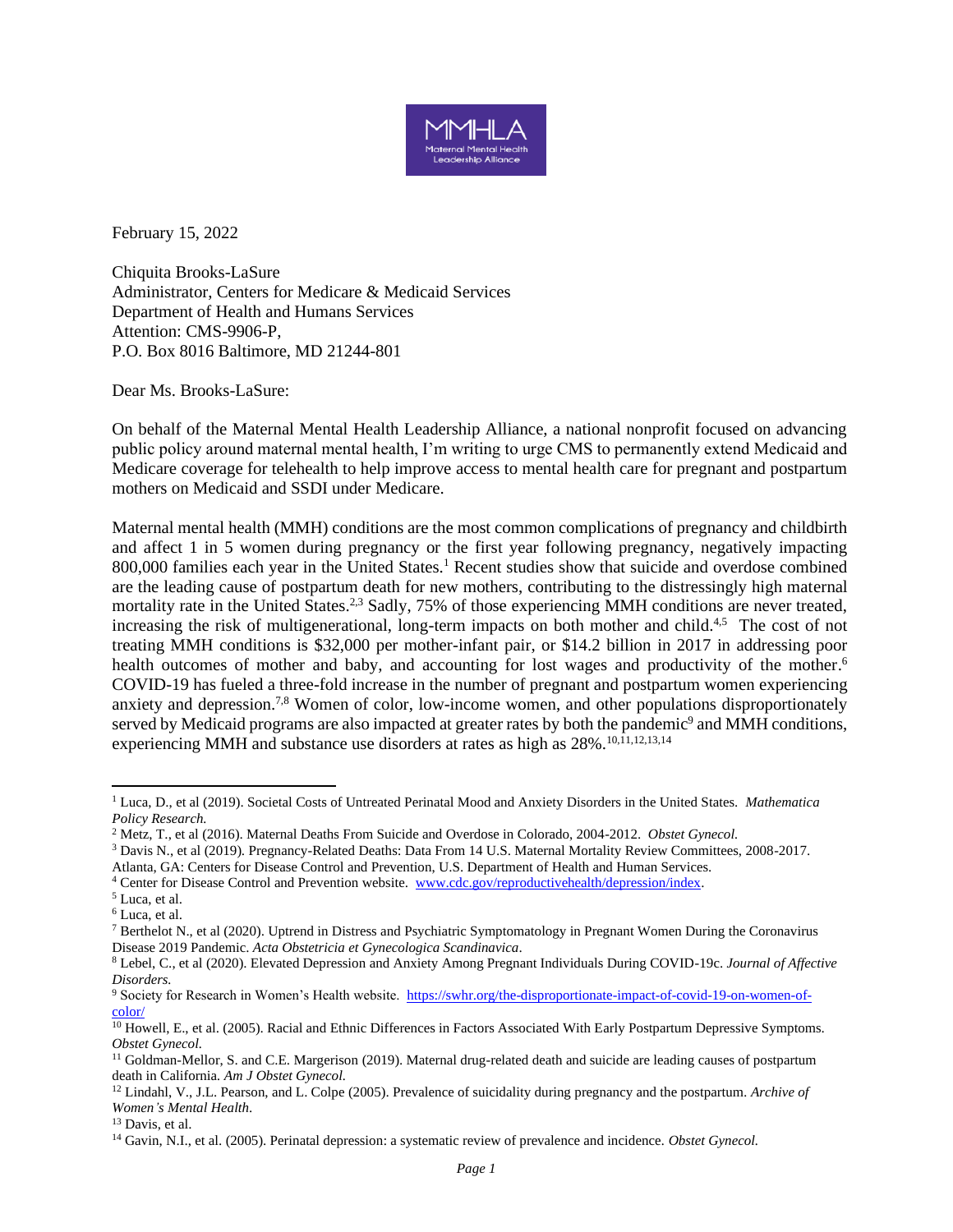

February 15, 2022

Chiquita Brooks-LaSure Administrator, Centers for Medicare & Medicaid Services Department of Health and Humans Services Attention: CMS-9906-P, P.O. Box 8016 Baltimore, MD 21244-801

Dear Ms. Brooks-LaSure:

On behalf of the Maternal Mental Health Leadership Alliance, a national nonprofit focused on advancing public policy around maternal mental health, I'm writing to urge CMS to permanently extend Medicaid and Medicare coverage for telehealth to help improve access to mental health care for pregnant and postpartum mothers on Medicaid and SSDI under Medicare.

Maternal mental health (MMH) conditions are the most common complications of pregnancy and childbirth and affect 1 in 5 women during pregnancy or the first year following pregnancy, negatively impacting 800,000 families each year in the United States.<sup>1</sup> Recent studies show that suicide and overdose combined are the leading cause of postpartum death for new mothers, contributing to the distressingly high maternal mortality rate in the United States.<sup>2,3</sup> Sadly, 75% of those experiencing MMH conditions are never treated, increasing the risk of multigenerational, long-term impacts on both mother and child. $4.5$  The cost of not treating MMH conditions is \$32,000 per mother-infant pair, or \$14.2 billion in 2017 in addressing poor health outcomes of mother and baby, and accounting for lost wages and productivity of the mother.<sup>6</sup> COVID-19 has fueled a three-fold increase in the number of pregnant and postpartum women experiencing anxiety and depression.<sup>7,8</sup> Women of color, low-income women, and other populations disproportionately served by Medicaid programs are also impacted at greater rates by both the pandemic<sup>9</sup> and MMH conditions, experiencing MMH and substance use disorders at rates as high as  $28\%$ .<sup>10,11,12,13,14</sup>

<sup>1</sup> Luca, D., et al (2019). Societal Costs of Untreated Perinatal Mood and Anxiety Disorders in the United States. *Mathematica Policy Research.*

<sup>2</sup> Metz, T., et al (2016). Maternal Deaths From Suicide and Overdose in Colorado, 2004-2012. *Obstet Gynecol.*

<sup>3</sup> Davis N., et al (2019). Pregnancy-Related Deaths: Data From 14 U.S. Maternal Mortality Review Committees, 2008-2017.

Atlanta, GA: Centers for Disease Control and Prevention, U.S. Department of Health and Human Services.

<sup>4</sup> Center for Disease Control and Prevention website. [www.cdc.gov/reproductivehealth/depression/index.](http://www.cdc.gov/reproductivehealth/depression/index)

<sup>5</sup> Luca, et al.

<sup>6</sup> Luca, et al.

<sup>7</sup> Berthelot N., [et al \(2020\). Uptrend in Distress and Psychiatric Symptomatology in Pregnant Women During the Coronavirus](https://doi.org/10.1111/aogs.13925)  [Disease 2019](https://doi.org/10.1111/aogs.13925) [Pandemic.](https://doi.org/10.1111/aogs.13925) *[Acta Obstetricia et Gynecologica Scandinavica](https://doi.org/10.1111/aogs.13925)*.

<sup>8</sup> Lebel, C., et al (2020). Elevated Depression and Anxiety Among Pregnant Individuals During COVID-19c. *Journal of Affective Disorders.*

<sup>9</sup> Society for Research in Women's Health website. [https://swhr.org/the-disproportionate-impact-of-covid-19-on-women-of](https://swhr.org/the-disproportionate-impact-of-covid-19-on-women-of-color/)[color/](https://swhr.org/the-disproportionate-impact-of-covid-19-on-women-of-color/)

 $\overline{^{10}}$  Howell, E., et al. (2005). Racial and Ethnic Differences in Factors Associated With Early Postpartum Depressive Symptoms. *Obstet Gynecol.*

<sup>&</sup>lt;sup>11</sup> Goldman-Mellor, S. and C.E. Margerison (2019). Maternal drug-related death and suicide are leading causes of postpartum death in California*. Am J Obstet Gynecol.*

<sup>12</sup> Lindahl, V., J.L. Pearson, and L. Colpe (2005). Prevalence of suicidality during pregnancy and the postpartum*. Archive of Women's Mental Health*.

<sup>13</sup> Davis, et al.

<sup>14</sup> Gavin, N.I., et al. (2005). Perinatal depression: a systematic review of prevalence and incidence*. Obstet Gynecol.*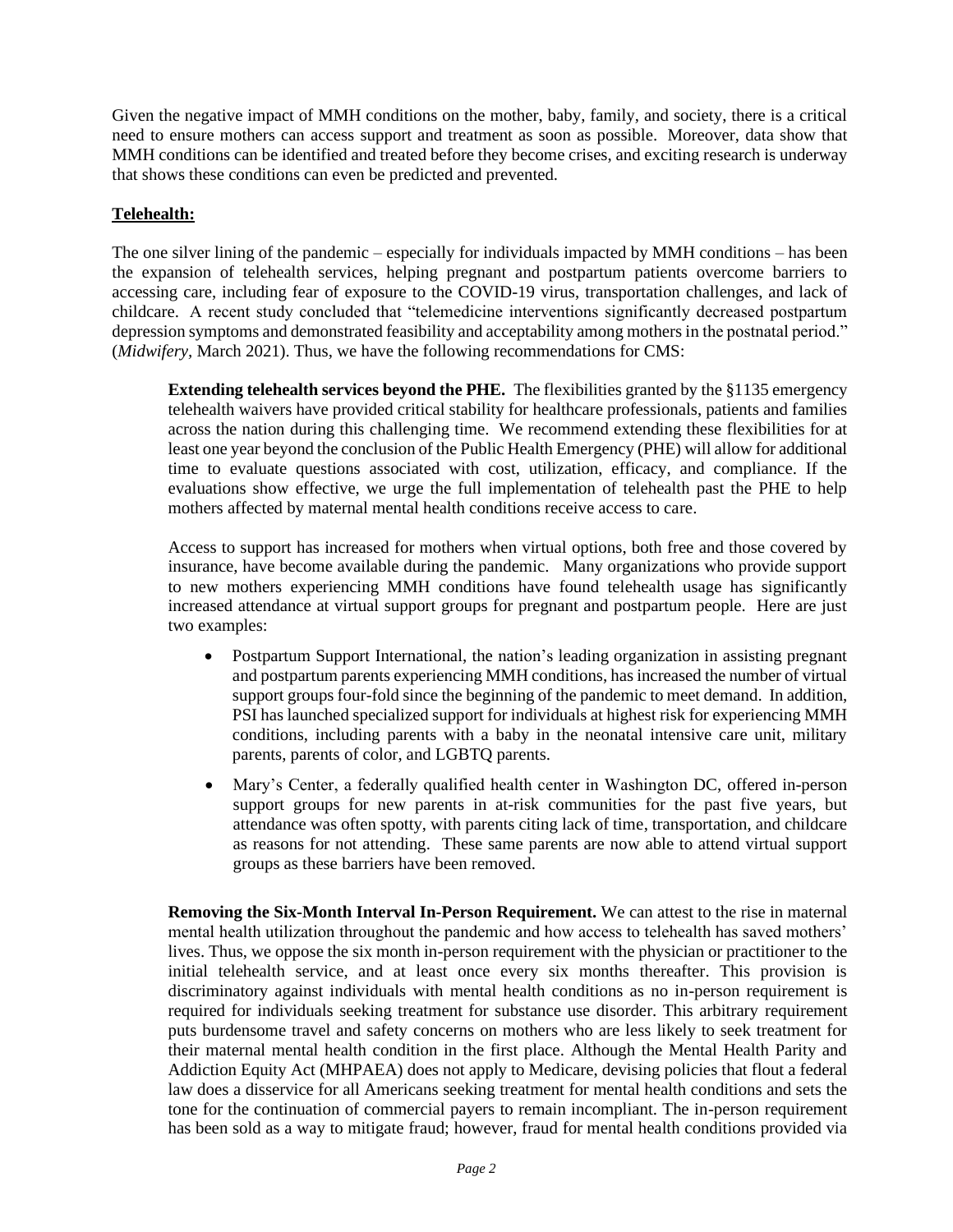Given the negative impact of MMH conditions on the mother, baby, family, and society, there is a critical need to ensure mothers can access support and treatment as soon as possible. Moreover, data show that MMH conditions can be identified and treated before they become crises, and exciting research is underway that shows these conditions can even be predicted and prevented.

## **Telehealth:**

The one silver lining of the pandemic – especially for individuals impacted by MMH conditions – has been the expansion of telehealth services, helping pregnant and postpartum patients overcome barriers to accessing care, including fear of exposure to the COVID-19 virus, transportation challenges, and lack of childcare. A recent study concluded that "telemedicine interventions significantly decreased postpartum depression symptoms and demonstrated feasibility and acceptability among mothers in the postnatal period." (*Midwifery,* March 2021). Thus, we have the following recommendations for CMS:

**Extending telehealth services beyond the PHE.** The flexibilities granted by the §1135 emergency telehealth waivers have provided critical stability for healthcare professionals, patients and families across the nation during this challenging time. We recommend extending these flexibilities for at least one year beyond the conclusion of the Public Health Emergency (PHE) will allow for additional time to evaluate questions associated with cost, utilization, efficacy, and compliance. If the evaluations show effective, we urge the full implementation of telehealth past the PHE to help mothers affected by maternal mental health conditions receive access to care.

Access to support has increased for mothers when virtual options, both free and those covered by insurance, have become available during the pandemic. Many organizations who provide support to new mothers experiencing MMH conditions have found telehealth usage has significantly increased attendance at virtual support groups for pregnant and postpartum people. Here are just two examples:

- Postpartum Support International, the nation's leading organization in assisting pregnant and postpartum parents experiencing MMH conditions, has increased the number of virtual support groups four-fold since the beginning of the pandemic to meet demand. In addition, PSI has launched specialized support for individuals at highest risk for experiencing MMH conditions, including parents with a baby in the neonatal intensive care unit, military parents, parents of color, and LGBTQ parents.
- Mary's Center, a federally qualified health center in Washington DC, offered in-person support groups for new parents in at-risk communities for the past five years, but attendance was often spotty, with parents citing lack of time, transportation, and childcare as reasons for not attending. These same parents are now able to attend virtual support groups as these barriers have been removed.

**Removing the Six-Month Interval In-Person Requirement.** We can attest to the rise in maternal mental health utilization throughout the pandemic and how access to telehealth has saved mothers' lives. Thus, we oppose the six month in-person requirement with the physician or practitioner to the initial telehealth service, and at least once every six months thereafter. This provision is discriminatory against individuals with mental health conditions as no in-person requirement is required for individuals seeking treatment for substance use disorder. This arbitrary requirement puts burdensome travel and safety concerns on mothers who are less likely to seek treatment for their maternal mental health condition in the first place. Although the Mental Health Parity and Addiction Equity Act (MHPAEA) does not apply to Medicare, devising policies that flout a federal law does a disservice for all Americans seeking treatment for mental health conditions and sets the tone for the continuation of commercial payers to remain incompliant. The in-person requirement has been sold as a way to mitigate fraud; however, fraud for mental health conditions provided via